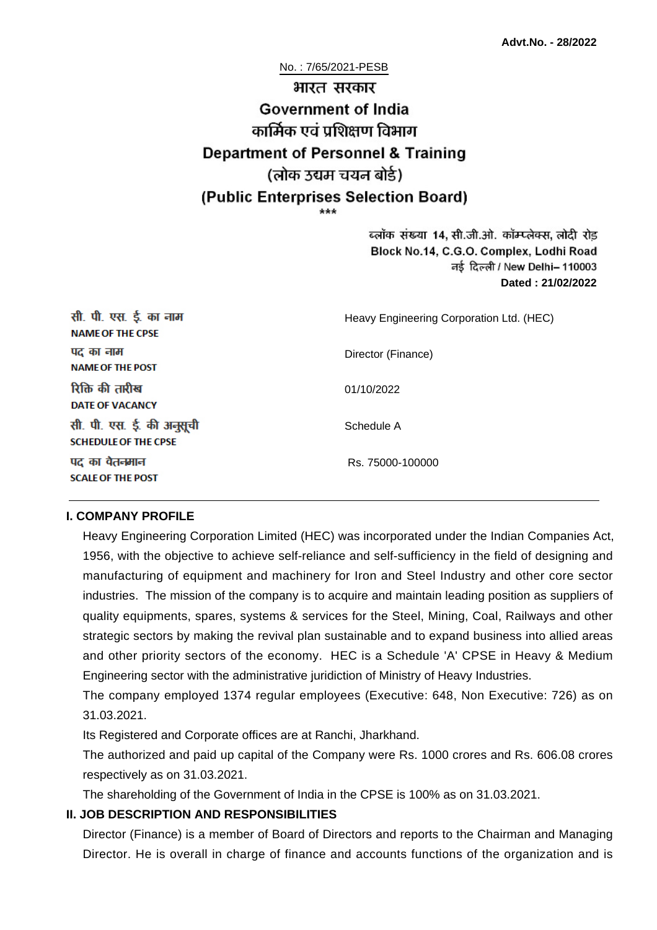No. : 7/65/2021-PESB

# भारत सरकार **Government of India** कार्मिक एवं पशिक्षण विभाग **Department of Personnel & Training** (लोक उद्यम चयन बोर्ड) (Public Enterprises Selection Board)

ब्लॉक संख्या 14, सी.जी.ओ. कॉम्प्लेक्स, लोदी रोड Block No.14, C.G.O. Complex, Lodhi Road ਰई दिल्ली / New Delhi– 110003 **Dated : 21/02/2022**

| सी. पी. एस. ई. का नाम<br><b>NAME OF THE CPSE</b>         | Heavy Engineering Corporation Ltd. (HEC) |
|----------------------------------------------------------|------------------------------------------|
| पद का नाम<br><b>NAME OF THE POST</b>                     | Director (Finance)                       |
| रिक्ति की तारीख<br><b>DATE OF VACANCY</b>                | 01/10/2022                               |
| सी. पी. एस. ई. की अनुसूची<br><b>SCHEDULE OF THE CPSE</b> | Schedule A                               |
| पद का वेतनमान<br><b>SCALE OF THE POST</b>                | Rs. 75000-100000                         |

#### **I. COMPANY PROFILE**

Heavy Engineering Corporation Limited (HEC) was incorporated under the Indian Companies Act, 1956, with the objective to achieve self-reliance and self-sufficiency in the field of designing and manufacturing of equipment and machinery for Iron and Steel Industry and other core sector industries. The mission of the company is to acquire and maintain leading position as suppliers of quality equipments, spares, systems & services for the Steel, Mining, Coal, Railways and other strategic sectors by making the revival plan sustainable and to expand business into allied areas and other priority sectors of the economy. HEC is a Schedule 'A' CPSE in Heavy & Medium Engineering sector with the administrative juridiction of Ministry of Heavy Industries.

The company employed 1374 regular employees (Executive: 648, Non Executive: 726) as on 31.03.2021.

Its Registered and Corporate offices are at Ranchi, Jharkhand.

The authorized and paid up capital of the Company were Rs. 1000 crores and Rs. 606.08 crores respectively as on 31.03.2021.

The shareholding of the Government of India in the CPSE is 100% as on 31.03.2021.

## **II. JOB DESCRIPTION AND RESPONSIBILITIES**

Director (Finance) is a member of Board of Directors and reports to the Chairman and Managing Director. He is overall in charge of finance and accounts functions of the organization and is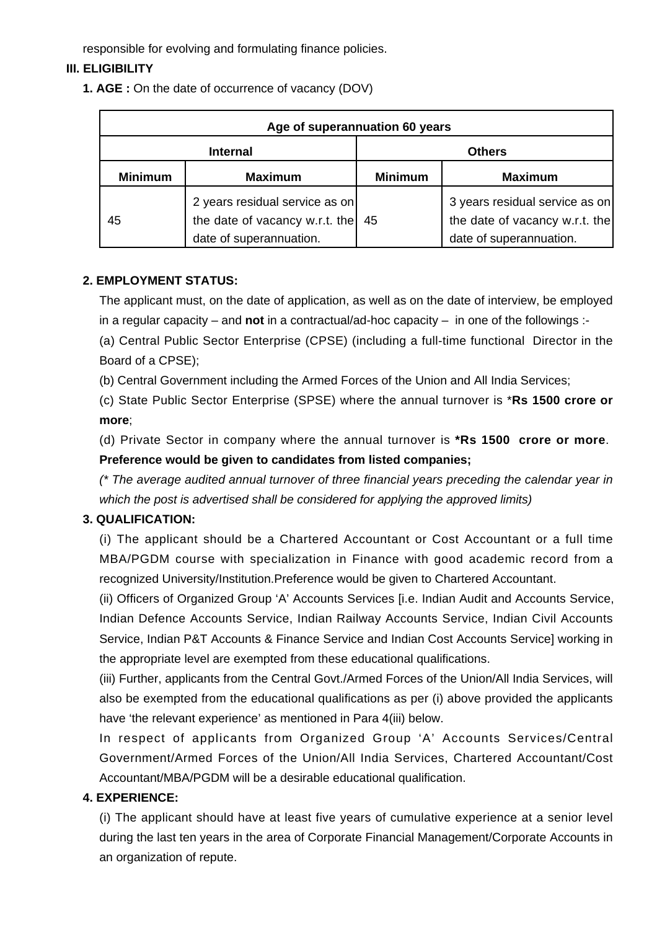responsible for evolving and formulating finance policies.

# **III. ELIGIBILITY**

**1. AGE :** On the date of occurrence of vacancy (DOV)

| Age of superannuation 60 years |                                                                                             |                |                                                                                             |  |
|--------------------------------|---------------------------------------------------------------------------------------------|----------------|---------------------------------------------------------------------------------------------|--|
| <b>Internal</b>                |                                                                                             | <b>Others</b>  |                                                                                             |  |
| <b>Minimum</b>                 | <b>Maximum</b>                                                                              | <b>Minimum</b> | <b>Maximum</b>                                                                              |  |
| 45                             | 2 years residual service as on<br>the date of vacancy w.r.t. the<br>date of superannuation. | 45             | 3 years residual service as on<br>the date of vacancy w.r.t. the<br>date of superannuation. |  |

#### **2. EMPLOYMENT STATUS:**

The applicant must, on the date of application, as well as on the date of interview, be employed in a regular capacity – and **not** in a contractual/ad-hoc capacity – in one of the followings :-

(a) Central Public Sector Enterprise (CPSE) (including a full-time functional Director in the Board of a CPSE);

(b) Central Government including the Armed Forces of the Union and All India Services;

(c) State Public Sector Enterprise (SPSE) where the annual turnover is \***Rs 1500 crore or more**;

(d) Private Sector in company where the annual turnover is **\*Rs 1500 crore or more**. **Preference would be given to candidates from listed companies;**

(\* The average audited annual turnover of three financial years preceding the calendar year in which the post is advertised shall be considered for applying the approved limits)

## **3. QUALIFICATION:**

(i) The applicant should be a Chartered Accountant or Cost Accountant or a full time MBA/PGDM course with specialization in Finance with good academic record from a recognized University/Institution.Preference would be given to Chartered Accountant.

(ii) Officers of Organized Group 'A' Accounts Services [i.e. Indian Audit and Accounts Service, Indian Defence Accounts Service, Indian Railway Accounts Service, Indian Civil Accounts Service, Indian P&T Accounts & Finance Service and Indian Cost Accounts Service] working in the appropriate level are exempted from these educational qualifications.

(iii) Further, applicants from the Central Govt./Armed Forces of the Union/All India Services, will also be exempted from the educational qualifications as per (i) above provided the applicants have 'the relevant experience' as mentioned in Para 4(iii) below.

In respect of applicants from Organized Group 'A' Accounts Services/Central Government/Armed Forces of the Union/All India Services, Chartered Accountant/Cost Accountant/MBA/PGDM will be a desirable educational qualification.

## **4. EXPERIENCE:**

(i) The applicant should have at least five years of cumulative experience at a senior level during the last ten years in the area of Corporate Financial Management/Corporate Accounts in an organization of repute.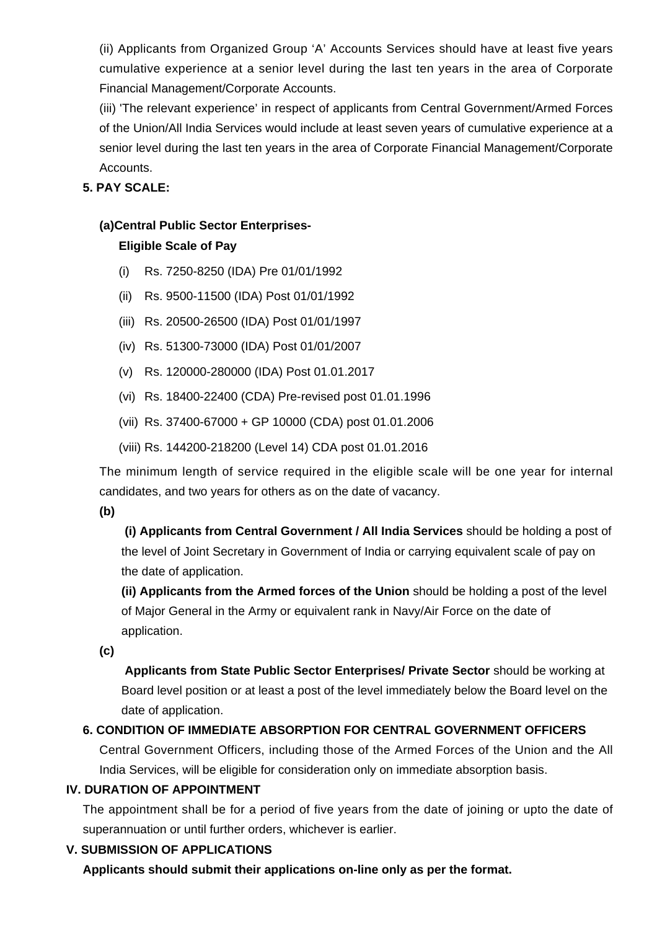(ii) Applicants from Organized Group 'A' Accounts Services should have at least five years cumulative experience at a senior level during the last ten years in the area of Corporate Financial Management/Corporate Accounts.

(iii) 'The relevant experience' in respect of applicants from Central Government/Armed Forces of the Union/All India Services would include at least seven years of cumulative experience at a senior level during the last ten years in the area of Corporate Financial Management/Corporate Accounts.

# **5. PAY SCALE:**

# **(a)Central Public Sector Enterprises-**

# **Eligible Scale of Pay**

- (i) Rs. 7250-8250 (IDA) Pre 01/01/1992
- (ii) Rs. 9500-11500 (IDA) Post 01/01/1992
- (iii) Rs. 20500-26500 (IDA) Post 01/01/1997
- (iv) Rs. 51300-73000 (IDA) Post 01/01/2007
- (v) Rs. 120000-280000 (IDA) Post 01.01.2017
- (vi) Rs. 18400-22400 (CDA) Pre-revised post 01.01.1996
- (vii) Rs. 37400-67000 + GP 10000 (CDA) post 01.01.2006
- (viii) Rs. 144200-218200 (Level 14) CDA post 01.01.2016

The minimum length of service required in the eligible scale will be one year for internal candidates, and two years for others as on the date of vacancy.

**(b)**

**(i) Applicants from Central Government / All India Services** should be holding a post of the level of Joint Secretary in Government of India or carrying equivalent scale of pay on the date of application.

**(ii) Applicants from the Armed forces of the Union** should be holding a post of the level of Major General in the Army or equivalent rank in Navy/Air Force on the date of application.

**(c)**

 **Applicants from State Public Sector Enterprises/ Private Sector** should be working at Board level position or at least a post of the level immediately below the Board level on the date of application.

# **6. CONDITION OF IMMEDIATE ABSORPTION FOR CENTRAL GOVERNMENT OFFICERS**

Central Government Officers, including those of the Armed Forces of the Union and the All India Services, will be eligible for consideration only on immediate absorption basis.

## **IV. DURATION OF APPOINTMENT**

The appointment shall be for a period of five years from the date of joining or upto the date of superannuation or until further orders, whichever is earlier.

## **V. SUBMISSION OF APPLICATIONS**

**Applicants should submit their applications on-line only as per the format.**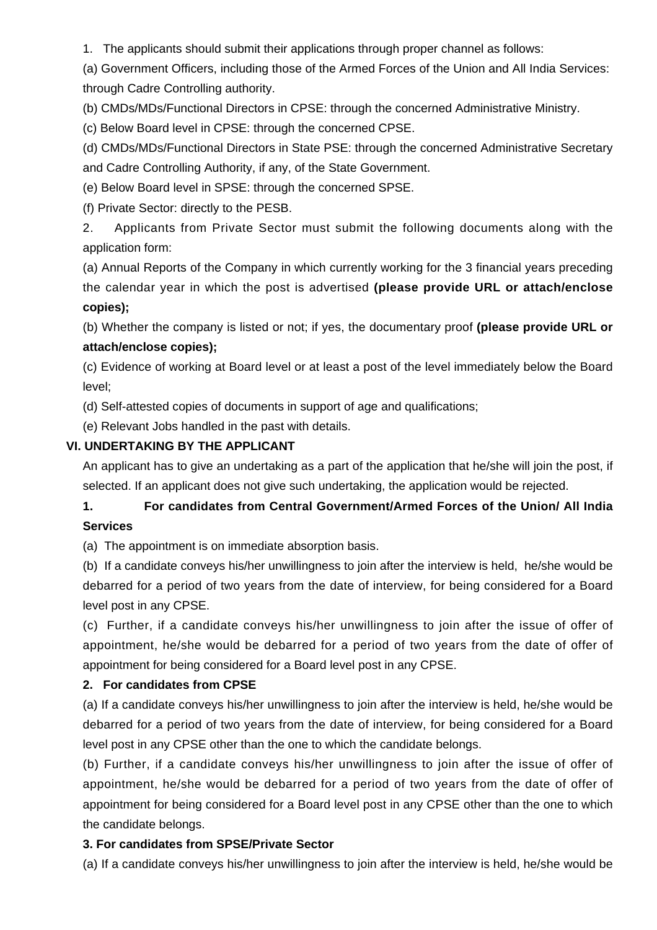1. The applicants should submit their applications through proper channel as follows:

(a) Government Officers, including those of the Armed Forces of the Union and All India Services: through Cadre Controlling authority.

(b) CMDs/MDs/Functional Directors in CPSE: through the concerned Administrative Ministry.

(c) Below Board level in CPSE: through the concerned CPSE.

(d) CMDs/MDs/Functional Directors in State PSE: through the concerned Administrative Secretary and Cadre Controlling Authority, if any, of the State Government.

(e) Below Board level in SPSE: through the concerned SPSE.

(f) Private Sector: directly to the PESB.

2. Applicants from Private Sector must submit the following documents along with the application form:

(a) Annual Reports of the Company in which currently working for the 3 financial years preceding the calendar year in which the post is advertised **(please provide URL or attach/enclose copies);**

(b) Whether the company is listed or not; if yes, the documentary proof **(please provide URL or attach/enclose copies);**

(c) Evidence of working at Board level or at least a post of the level immediately below the Board level;

(d) Self-attested copies of documents in support of age and qualifications;

(e) Relevant Jobs handled in the past with details.

# **VI. UNDERTAKING BY THE APPLICANT**

An applicant has to give an undertaking as a part of the application that he/she will join the post, if selected. If an applicant does not give such undertaking, the application would be rejected.

# **1. For candidates from Central Government/Armed Forces of the Union/ All India Services**

(a) The appointment is on immediate absorption basis.

(b) If a candidate conveys his/her unwillingness to join after the interview is held, he/she would be debarred for a period of two years from the date of interview, for being considered for a Board level post in any CPSE.

(c) Further, if a candidate conveys his/her unwillingness to join after the issue of offer of appointment, he/she would be debarred for a period of two years from the date of offer of appointment for being considered for a Board level post in any CPSE.

# **2. For candidates from CPSE**

(a) If a candidate conveys his/her unwillingness to join after the interview is held, he/she would be debarred for a period of two years from the date of interview, for being considered for a Board level post in any CPSE other than the one to which the candidate belongs.

(b) Further, if a candidate conveys his/her unwillingness to join after the issue of offer of appointment, he/she would be debarred for a period of two years from the date of offer of appointment for being considered for a Board level post in any CPSE other than the one to which the candidate belongs.

## **3. For candidates from SPSE/Private Sector**

(a) If a candidate conveys his/her unwillingness to join after the interview is held, he/she would be